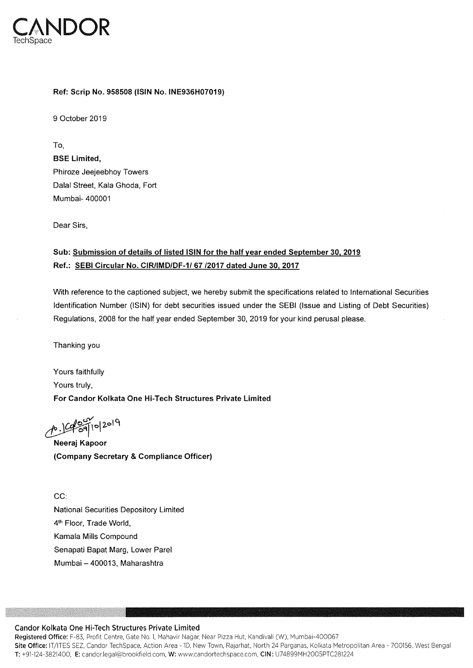

## Ref: Scrip No. 958508 (ISIN No. lNE936H07019)

9 October 2019

To, BSE Limited, Phiroze Jeejeebhoy Towers Dalal Street, Kala Ghoda, Fort Mumbai— 400001

Dear Sirs.

## Sub: Submission of details of listed ISIN for the half year ended September 30, 2019 Ref.: SEBI Circular No. CIR/IMD/DF-1/ 67 /2017 dated June 30, 2017

With reference to the captioned subject, we hereby submit the specifications related to International Securities Identification Number (lSlN) for debt securities issued under the SEBI (Issue and Listing of Debt Securities) Regulations, 2008 for the half year ended September 30, 2019 for your kind perusal please.

Thanking you

Yours faithfully Yours truly, For Candor Kolkata One Hi-Tech Structures Private Limited

p. 19 39/10/2019

Neeraj Kapoor (Company Secretary & Compliance Officer)

CC: National Securities Depository Limited 4<sup>th</sup> Floor, Trade World, Kamala Mills Compound Senapati Bapat Marg. Lower Parel Mumbai — 400013, Maharashtra

## Candor Kolkata One Hi-Tech Structures Private Limited

Registered Office: F—83, Profit Centre. Gate No.1, Mahavir Nagar, Near Pizza Hut, Kandivali (W), Mumbai-400067 Site Office: IT/ITES SEZ, Candor TechSpace, Action Area - 1D, New Town, Rajarhat, North 24 Parganas, Kolkata Metropolitan Area - 700156, West Benga T: +91-124-3821400, E: candor.legal@brookfield.com, W: www.candortechspace.com, CIN: U74899MH2OO5PTC281224